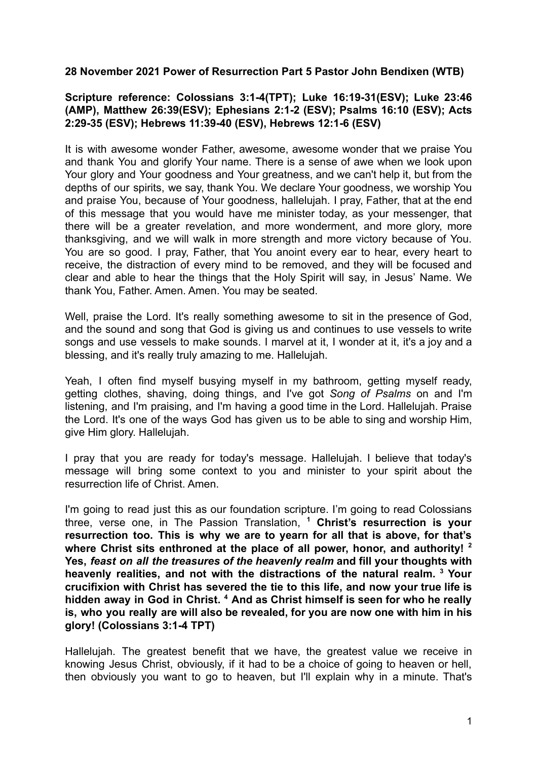## **28 November 2021 Power of Resurrection Part 5 Pastor John Bendixen (WTB)**

## **Scripture reference: Colossians 3:1-4(TPT); Luke 16:19-31(ESV); Luke 23:46 (AMP), Matthew 26:39(ESV); Ephesians 2:1-2 (ESV); Psalms 16:10 (ESV); Acts 2:29-35 (ESV); Hebrews 11:39-40 (ESV), Hebrews 12:1-6 (ESV)**

It is with awesome wonder Father, awesome, awesome wonder that we praise You and thank You and glorify Your name. There is a sense of awe when we look upon Your glory and Your goodness and Your greatness, and we can't help it, but from the depths of our spirits, we say, thank You. We declare Your goodness, we worship You and praise You, because of Your goodness, hallelujah. I pray, Father, that at the end of this message that you would have me minister today, as your messenger, that there will be a greater revelation, and more wonderment, and more glory, more thanksgiving, and we will walk in more strength and more victory because of You. You are so good. I pray, Father, that You anoint every ear to hear, every heart to receive, the distraction of every mind to be removed, and they will be focused and clear and able to hear the things that the Holy Spirit will say, in Jesus' Name. We thank You, Father. Amen. Amen. You may be seated.

Well, praise the Lord. It's really something awesome to sit in the presence of God, and the sound and song that God is giving us and continues to use vessels to write songs and use vessels to make sounds. I marvel at it, I wonder at it, it's a joy and a blessing, and it's really truly amazing to me. Hallelujah.

Yeah, I often find myself busying myself in my bathroom, getting myself ready, getting clothes, shaving, doing things, and I've got *Song of Psalms* on and I'm listening, and I'm praising, and I'm having a good time in the Lord. Hallelujah. Praise the Lord. It's one of the ways God has given us to be able to sing and worship Him, give Him glory. Hallelujah.

I pray that you are ready for today's message. Hallelujah. I believe that today's message will bring some context to you and minister to your spirit about the resurrection life of Christ. Amen.

I'm going to read just this as our foundation scripture. I'm going to read Colossians three, verse one, in The Passion Translation, **<sup>1</sup> Christ's resurrection is your resurrection too. This is why we are to yearn for all that is above, for that's where Christ sits enthroned at the place of all power, honor, and authority! <sup>2</sup> Yes,** *feast on all the treasures of the heavenly realm* **and fill your thoughts with heavenly realities, and not with the distractions of the natural realm. <sup>3</sup> Your crucifixion with Christ has severed the tie to this life, and now your true life is hidden away in God in Christ. <sup>4</sup> And as Christ himself is seen for who he really is, who you really are will also be revealed, for you are now one with him in his glory! (Colossians 3:1-4 TPT)**

Hallelujah. The greatest benefit that we have, the greatest value we receive in knowing Jesus Christ, obviously, if it had to be a choice of going to heaven or hell, then obviously you want to go to heaven, but I'll explain why in a minute. That's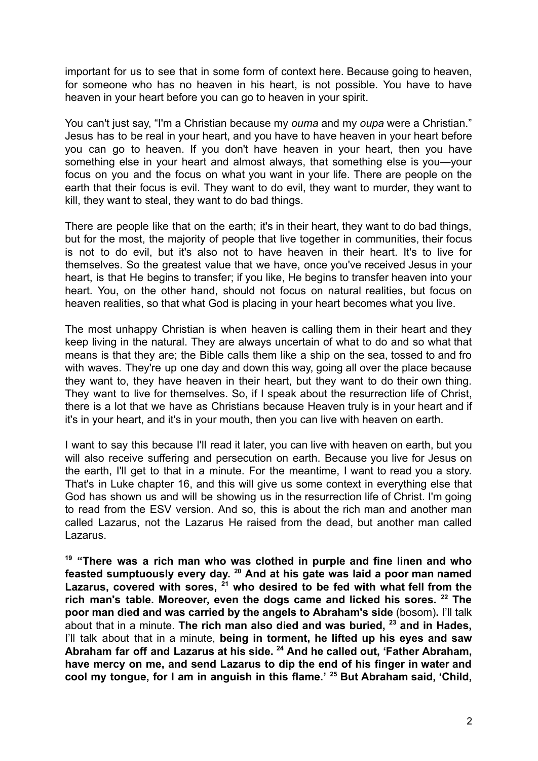important for us to see that in some form of context here. Because going to heaven, for someone who has no heaven in his heart, is not possible. You have to have heaven in your heart before you can go to heaven in your spirit.

You can't just say, "I'm a Christian because my *ouma* and my *oupa* were a Christian." Jesus has to be real in your heart, and you have to have heaven in your heart before you can go to heaven. If you don't have heaven in your heart, then you have something else in your heart and almost always, that something else is you—your focus on you and the focus on what you want in your life. There are people on the earth that their focus is evil. They want to do evil, they want to murder, they want to kill, they want to steal, they want to do bad things.

There are people like that on the earth; it's in their heart, they want to do bad things, but for the most, the majority of people that live together in communities, their focus is not to do evil, but it's also not to have heaven in their heart. It's to live for themselves. So the greatest value that we have, once you've received Jesus in your heart, is that He begins to transfer; if you like, He begins to transfer heaven into your heart. You, on the other hand, should not focus on natural realities, but focus on heaven realities, so that what God is placing in your heart becomes what you live.

The most unhappy Christian is when heaven is calling them in their heart and they keep living in the natural. They are always uncertain of what to do and so what that means is that they are; the Bible calls them like a ship on the sea, tossed to and fro with waves. They're up one day and down this way, going all over the place because they want to, they have heaven in their heart, but they want to do their own thing. They want to live for themselves. So, if I speak about the resurrection life of Christ, there is a lot that we have as Christians because Heaven truly is in your heart and if it's in your heart, and it's in your mouth, then you can live with heaven on earth.

I want to say this because I'll read it later, you can live with heaven on earth, but you will also receive suffering and persecution on earth. Because you live for Jesus on the earth, I'll get to that in a minute. For the meantime, I want to read you a story. That's in Luke chapter 16, and this will give us some context in everything else that God has shown us and will be showing us in the resurrection life of Christ. I'm going to read from the ESV version. And so, this is about the rich man and another man called Lazarus, not the Lazarus He raised from the dead, but another man called Lazarus.

**<sup>19</sup> "There was a rich man who was clothed in purple and fine linen and who feasted sumptuously every day. <sup>20</sup> And at his gate was laid a poor man named Lazarus, covered with sores, <sup>21</sup> who desired to be fed with what fell from the rich man's table. Moreover, even the dogs came and licked his sores. <sup>22</sup> The poor man died and was carried by the angels to Abraham's side** (bosom)**.** I'll talk about that in a minute. **The rich man also died and was buried, <sup>23</sup> and in Hades,** I'll talk about that in a minute, **being in torment, he lifted up his eyes and saw Abraham far off and Lazarus at his side. <sup>24</sup> And he called out, 'Father Abraham, have mercy on me, and send Lazarus to dip the end of his finger in water and cool my tongue, for I am in anguish in this flame.' <sup>25</sup> But Abraham said, 'Child,**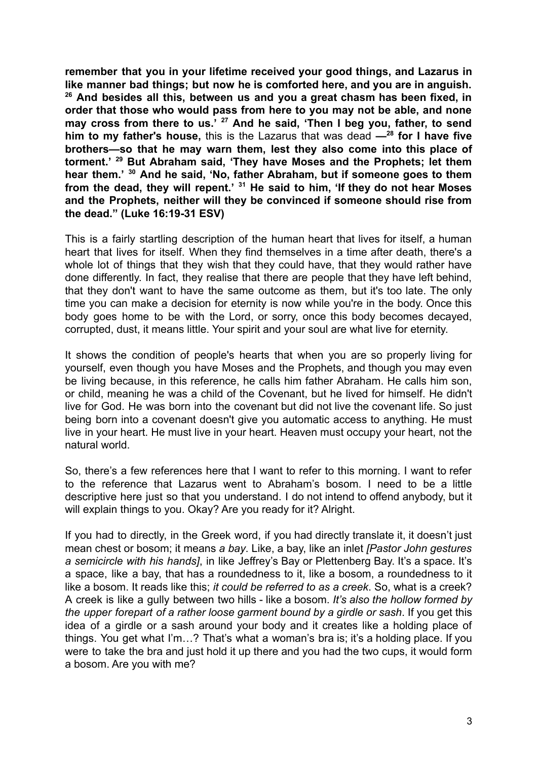**remember that you in your lifetime received your good things, and Lazarus in like manner bad things; but now he is comforted here, and you are in anguish. <sup>26</sup> And besides all this, between us and you a great chasm has been fixed, in order that those who would pass from here to you may not be able, and none may cross from there to us.' <sup>27</sup> And he said, 'Then I beg you, father, to send him to my father's house,** this is the Lazarus that was dead **—<sup>28</sup> for I have five brothers—so that he may warn them, lest they also come into this place of torment.' <sup>29</sup> But Abraham said, 'They have Moses and the Prophets; let them hear them.' <sup>30</sup> And he said, 'No, father Abraham, but if someone goes to them from the dead, they will repent.' <sup>31</sup> He said to him, 'If they do not hear Moses and the Prophets, neither will they be convinced if someone should rise from the dead." (Luke 16:19-31 ESV)**

This is a fairly startling description of the human heart that lives for itself, a human heart that lives for itself. When they find themselves in a time after death, there's a whole lot of things that they wish that they could have, that they would rather have done differently. In fact, they realise that there are people that they have left behind, that they don't want to have the same outcome as them, but it's too late. The only time you can make a decision for eternity is now while you're in the body. Once this body goes home to be with the Lord, or sorry, once this body becomes decayed, corrupted, dust, it means little. Your spirit and your soul are what live for eternity.

It shows the condition of people's hearts that when you are so properly living for yourself, even though you have Moses and the Prophets, and though you may even be living because, in this reference, he calls him father Abraham. He calls him son, or child, meaning he was a child of the Covenant, but he lived for himself. He didn't live for God. He was born into the covenant but did not live the covenant life. So just being born into a covenant doesn't give you automatic access to anything. He must live in your heart. He must live in your heart. Heaven must occupy your heart, not the natural world.

So, there's a few references here that I want to refer to this morning. I want to refer to the reference that Lazarus went to Abraham's bosom. I need to be a little descriptive here just so that you understand. I do not intend to offend anybody, but it will explain things to you. Okay? Are you ready for it? Alright.

If you had to directly, in the Greek word, if you had directly translate it, it doesn't just mean chest or bosom; it means *a bay*. Like, a bay, like an inlet *[Pastor John gestures a semicircle with his hands]*, in like Jeffrey's Bay or Plettenberg Bay. It's a space. It's a space, like a bay, that has a roundedness to it, like a bosom, a roundedness to it like a bosom. It reads like this; *it could be referred to as a creek*. So, what is a creek? A creek is like a gully between two hills - like a bosom. *It's also the hollow formed by the upper forepart of a rather loose garment bound by a girdle or sash*. If you get this idea of a girdle or a sash around your body and it creates like a holding place of things. You get what I'm…? That's what a woman's bra is; it's a holding place. If you were to take the bra and just hold it up there and you had the two cups, it would form a bosom. Are you with me?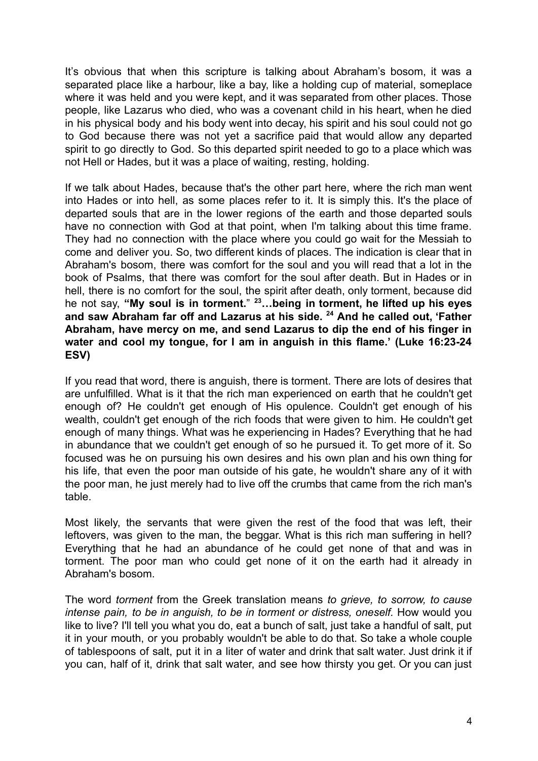It's obvious that when this scripture is talking about Abraham's bosom, it was a separated place like a harbour, like a bay, like a holding cup of material, someplace where it was held and you were kept, and it was separated from other places. Those people, like Lazarus who died, who was a covenant child in his heart, when he died in his physical body and his body went into decay, his spirit and his soul could not go to God because there was not yet a sacrifice paid that would allow any departed spirit to go directly to God. So this departed spirit needed to go to a place which was not Hell or Hades, but it was a place of waiting, resting, holding.

If we talk about Hades, because that's the other part here, where the rich man went into Hades or into hell, as some places refer to it. It is simply this. It's the place of departed souls that are in the lower regions of the earth and those departed souls have no connection with God at that point, when I'm talking about this time frame. They had no connection with the place where you could go wait for the Messiah to come and deliver you. So, two different kinds of places. The indication is clear that in Abraham's bosom, there was comfort for the soul and you will read that a lot in the book of Psalms, that there was comfort for the soul after death. But in Hades or in hell, there is no comfort for the soul, the spirit after death, only torment, because did he not say, **"My soul is in torment.**" **<sup>23</sup>…being in torment, he lifted up his eyes and saw Abraham far off and Lazarus at his side. <sup>24</sup> And he called out, 'Father Abraham, have mercy on me, and send Lazarus to dip the end of his finger in water and cool my tongue, for I am in anguish in this flame.' (Luke 16:23-24 ESV)**

If you read that word, there is anguish, there is torment. There are lots of desires that are unfulfilled. What is it that the rich man experienced on earth that he couldn't get enough of? He couldn't get enough of His opulence. Couldn't get enough of his wealth, couldn't get enough of the rich foods that were given to him. He couldn't get enough of many things. What was he experiencing in Hades? Everything that he had in abundance that we couldn't get enough of so he pursued it. To get more of it. So focused was he on pursuing his own desires and his own plan and his own thing for his life, that even the poor man outside of his gate, he wouldn't share any of it with the poor man, he just merely had to live off the crumbs that came from the rich man's table.

Most likely, the servants that were given the rest of the food that was left, their leftovers, was given to the man, the beggar. What is this rich man suffering in hell? Everything that he had an abundance of he could get none of that and was in torment. The poor man who could get none of it on the earth had it already in Abraham's bosom.

The word *torment* from the Greek translation means *to grieve, to sorrow, to cause intense pain, to be in anguish, to be in torment or distress, oneself.* How would you like to live? I'll tell you what you do, eat a bunch of salt, just take a handful of salt, put it in your mouth, or you probably wouldn't be able to do that. So take a whole couple of tablespoons of salt, put it in a liter of water and drink that salt water. Just drink it if you can, half of it, drink that salt water, and see how thirsty you get. Or you can just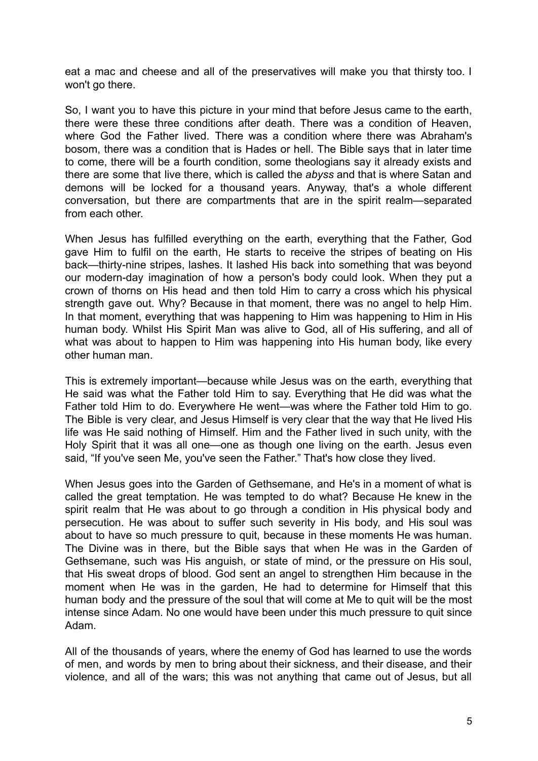eat a mac and cheese and all of the preservatives will make you that thirsty too. I won't go there.

So, I want you to have this picture in your mind that before Jesus came to the earth, there were these three conditions after death. There was a condition of Heaven, where God the Father lived. There was a condition where there was Abraham's bosom, there was a condition that is Hades or hell. The Bible says that in later time to come, there will be a fourth condition, some theologians say it already exists and there are some that live there, which is called the *abyss* and that is where Satan and demons will be locked for a thousand years. Anyway, that's a whole different conversation, but there are compartments that are in the spirit realm—separated from each other.

When Jesus has fulfilled everything on the earth, everything that the Father, God gave Him to fulfil on the earth, He starts to receive the stripes of beating on His back—thirty-nine stripes, lashes. It lashed His back into something that was beyond our modern-day imagination of how a person's body could look. When they put a crown of thorns on His head and then told Him to carry a cross which his physical strength gave out. Why? Because in that moment, there was no angel to help Him. In that moment, everything that was happening to Him was happening to Him in His human body. Whilst His Spirit Man was alive to God, all of His suffering, and all of what was about to happen to Him was happening into His human body, like every other human man.

This is extremely important—because while Jesus was on the earth, everything that He said was what the Father told Him to say. Everything that He did was what the Father told Him to do. Everywhere He went—was where the Father told Him to go. The Bible is very clear, and Jesus Himself is very clear that the way that He lived His life was He said nothing of Himself. Him and the Father lived in such unity, with the Holy Spirit that it was all one—one as though one living on the earth. Jesus even said, "If you've seen Me, you've seen the Father." That's how close they lived.

When Jesus goes into the Garden of Gethsemane, and He's in a moment of what is called the great temptation. He was tempted to do what? Because He knew in the spirit realm that He was about to go through a condition in His physical body and persecution. He was about to suffer such severity in His body, and His soul was about to have so much pressure to quit, because in these moments He was human. The Divine was in there, but the Bible says that when He was in the Garden of Gethsemane, such was His anguish, or state of mind, or the pressure on His soul, that His sweat drops of blood. God sent an angel to strengthen Him because in the moment when He was in the garden, He had to determine for Himself that this human body and the pressure of the soul that will come at Me to quit will be the most intense since Adam. No one would have been under this much pressure to quit since Adam.

All of the thousands of years, where the enemy of God has learned to use the words of men, and words by men to bring about their sickness, and their disease, and their violence, and all of the wars; this was not anything that came out of Jesus, but all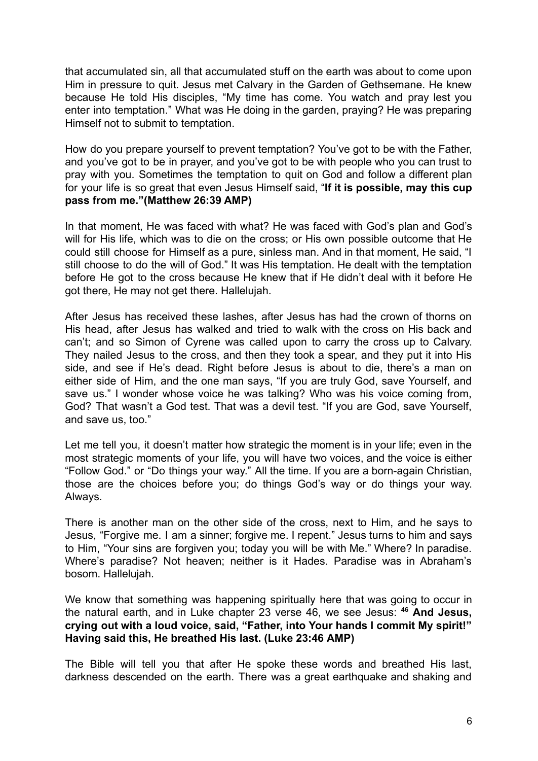that accumulated sin, all that accumulated stuff on the earth was about to come upon Him in pressure to quit. Jesus met Calvary in the Garden of Gethsemane. He knew because He told His disciples, "My time has come. You watch and pray lest you enter into temptation." What was He doing in the garden, praying? He was preparing Himself not to submit to temptation.

How do you prepare yourself to prevent temptation? You've got to be with the Father, and you've got to be in prayer, and you've got to be with people who you can trust to pray with you. Sometimes the temptation to quit on God and follow a different plan for your life is so great that even Jesus Himself said, "**If it is possible, may this cup pass from me."(Matthew 26:39 AMP)**

In that moment, He was faced with what? He was faced with God's plan and God's will for His life, which was to die on the cross; or His own possible outcome that He could still choose for Himself as a pure, sinless man. And in that moment, He said, "I still choose to do the will of God." It was His temptation. He dealt with the temptation before He got to the cross because He knew that if He didn't deal with it before He got there, He may not get there. Hallelujah.

After Jesus has received these lashes, after Jesus has had the crown of thorns on His head, after Jesus has walked and tried to walk with the cross on His back and can't; and so Simon of Cyrene was called upon to carry the cross up to Calvary. They nailed Jesus to the cross, and then they took a spear, and they put it into His side, and see if He's dead. Right before Jesus is about to die, there's a man on either side of Him, and the one man says, "If you are truly God, save Yourself, and save us." I wonder whose voice he was talking? Who was his voice coming from, God? That wasn't a God test. That was a devil test. "If you are God, save Yourself, and save us, too."

Let me tell you, it doesn't matter how strategic the moment is in your life; even in the most strategic moments of your life, you will have two voices, and the voice is either "Follow God." or "Do things your way." All the time. If you are a born-again Christian, those are the choices before you; do things God's way or do things your way. Always.

There is another man on the other side of the cross, next to Him, and he says to Jesus, "Forgive me. I am a sinner; forgive me. I repent." Jesus turns to him and says to Him, "Your sins are forgiven you; today you will be with Me." Where? In paradise. Where's paradise? Not heaven; neither is it Hades. Paradise was in Abraham's bosom. Hallelujah.

We know that something was happening spiritually here that was going to occur in the natural earth, and in Luke chapter 23 verse 46, we see Jesus: **<sup>46</sup> And Jesus, crying out with a loud voice, said, "Father, into Your hands I commit My spirit!" Having said this, He breathed His last. (Luke 23:46 AMP)**

The Bible will tell you that after He spoke these words and breathed His last, darkness descended on the earth. There was a great earthquake and shaking and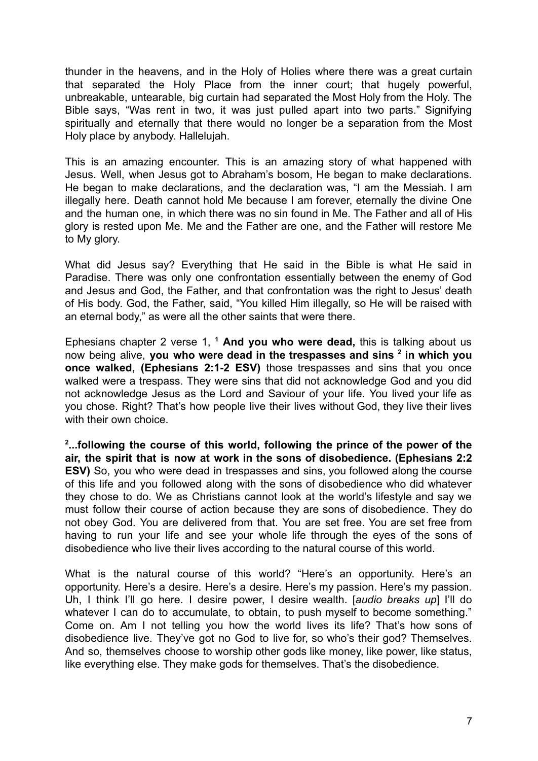thunder in the heavens, and in the Holy of Holies where there was a great curtain that separated the Holy Place from the inner court; that hugely powerful, unbreakable, untearable, big curtain had separated the Most Holy from the Holy. The Bible says, "Was rent in two, it was just pulled apart into two parts." Signifying spiritually and eternally that there would no longer be a separation from the Most Holy place by anybody. Hallelujah.

This is an amazing encounter. This is an amazing story of what happened with Jesus. Well, when Jesus got to Abraham's bosom, He began to make declarations. He began to make declarations, and the declaration was, "I am the Messiah. I am illegally here. Death cannot hold Me because I am forever, eternally the divine One and the human one, in which there was no sin found in Me. The Father and all of His glory is rested upon Me. Me and the Father are one, and the Father will restore Me to My glory.

What did Jesus say? Everything that He said in the Bible is what He said in Paradise. There was only one confrontation essentially between the enemy of God and Jesus and God, the Father, and that confrontation was the right to Jesus' death of His body. God, the Father, said, "You killed Him illegally, so He will be raised with an eternal body," as were all the other saints that were there.

Ephesians chapter 2 verse 1, **<sup>1</sup> And you who were dead,** this is talking about us now being alive, **you who were dead in the trespasses and sins <sup>2</sup> in which you once walked, (Ephesians 2:1-2 ESV)** those trespasses and sins that you once walked were a trespass. They were sins that did not acknowledge God and you did not acknowledge Jesus as the Lord and Saviour of your life. You lived your life as you chose. Right? That's how people live their lives without God, they live their lives with their own choice.

**2 ...following the course of this world, following the prince of the power of the air, the spirit that is now at work in the sons of disobedience. (Ephesians 2:2 ESV)** So, you who were dead in trespasses and sins, you followed along the course of this life and you followed along with the sons of disobedience who did whatever they chose to do. We as Christians cannot look at the world's lifestyle and say we must follow their course of action because they are sons of disobedience. They do not obey God. You are delivered from that. You are set free. You are set free from having to run your life and see your whole life through the eyes of the sons of disobedience who live their lives according to the natural course of this world.

What is the natural course of this world? "Here's an opportunity. Here's an opportunity. Here's a desire. Here's a desire. Here's my passion. Here's my passion. Uh, I think I'll go here. I desire power, I desire wealth. [*audio breaks up*] I'll do whatever I can do to accumulate, to obtain, to push myself to become something." Come on. Am I not telling you how the world lives its life? That's how sons of disobedience live. They've got no God to live for, so who's their god? Themselves. And so, themselves choose to worship other gods like money, like power, like status, like everything else. They make gods for themselves. That's the disobedience.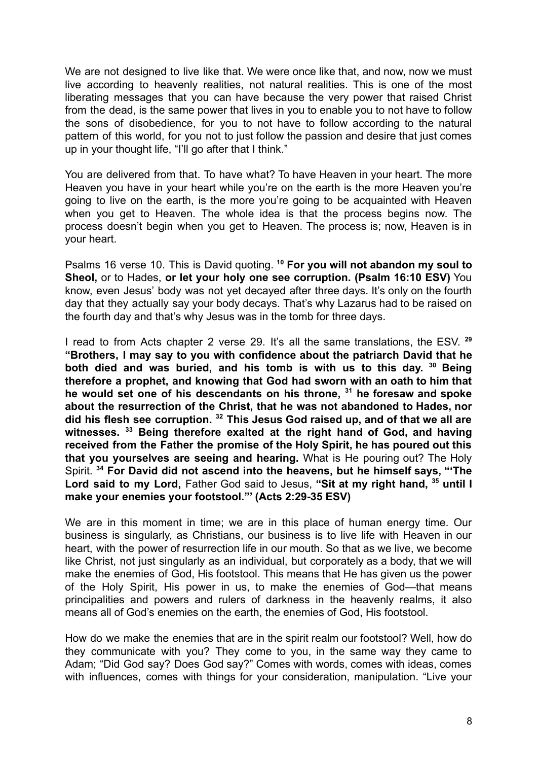We are not designed to live like that. We were once like that, and now, now we must live according to heavenly realities, not natural realities. This is one of the most liberating messages that you can have because the very power that raised Christ from the dead, is the same power that lives in you to enable you to not have to follow the sons of disobedience, for you to not have to follow according to the natural pattern of this world, for you not to just follow the passion and desire that just comes up in your thought life, "I'll go after that I think."

You are delivered from that. To have what? To have Heaven in your heart. The more Heaven you have in your heart while you're on the earth is the more Heaven you're going to live on the earth, is the more you're going to be acquainted with Heaven when you get to Heaven. The whole idea is that the process begins now. The process doesn't begin when you get to Heaven. The process is; now, Heaven is in your heart.

Psalms 16 verse 10. This is David quoting. **<sup>10</sup> For you will not abandon my soul to Sheol,** or to Hades, **or let your holy one see corruption. (Psalm 16:10 ESV)** You know, even Jesus' body was not yet decayed after three days. It's only on the fourth day that they actually say your body decays. That's why Lazarus had to be raised on the fourth day and that's why Jesus was in the tomb for three days.

I read to from Acts chapter 2 verse 29. It's all the same translations, the ESV. **29 "Brothers, I may say to you with confidence about the patriarch David that he both died and was buried, and his tomb is with us to this day. <sup>30</sup> Being therefore a prophet, and knowing that God had sworn with an oath to him that he would set one of his descendants on his throne, <sup>31</sup> he foresaw and spoke about the resurrection of the Christ, that he was not abandoned to Hades, nor did his flesh see corruption. <sup>32</sup> This Jesus God raised up, and of that we all are witnesses. <sup>33</sup> Being therefore exalted at the right hand of God, and having received from the Father the promise of the Holy Spirit, he has poured out this that you yourselves are seeing and hearing.** What is He pouring out? The Holy Spirit. **<sup>34</sup> For David did not ascend into the heavens, but he himself says, "'The Lord said to my Lord,** Father God said to Jesus, **"Sit at my right hand, <sup>35</sup> until I make your enemies your footstool."' (Acts 2:29-35 ESV)**

We are in this moment in time; we are in this place of human energy time. Our business is singularly, as Christians, our business is to live life with Heaven in our heart, with the power of resurrection life in our mouth. So that as we live, we become like Christ, not just singularly as an individual, but corporately as a body, that we will make the enemies of God, His footstool. This means that He has given us the power of the Holy Spirit, His power in us, to make the enemies of God—that means principalities and powers and rulers of darkness in the heavenly realms, it also means all of God's enemies on the earth, the enemies of God, His footstool.

How do we make the enemies that are in the spirit realm our footstool? Well, how do they communicate with you? They come to you, in the same way they came to Adam; "Did God say? Does God say?" Comes with words, comes with ideas, comes with influences, comes with things for your consideration, manipulation. "Live your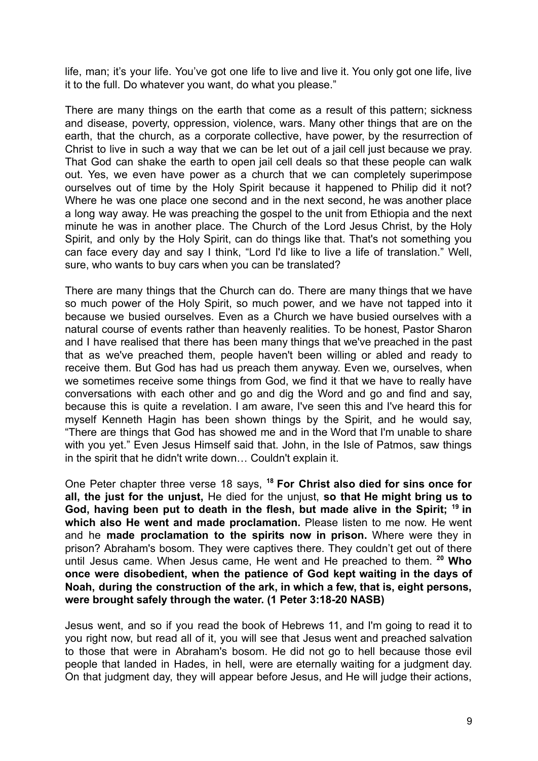life, man; it's your life. You've got one life to live and live it. You only got one life, live it to the full. Do whatever you want, do what you please."

There are many things on the earth that come as a result of this pattern; sickness and disease, poverty, oppression, violence, wars. Many other things that are on the earth, that the church, as a corporate collective, have power, by the resurrection of Christ to live in such a way that we can be let out of a jail cell just because we pray. That God can shake the earth to open jail cell deals so that these people can walk out. Yes, we even have power as a church that we can completely superimpose ourselves out of time by the Holy Spirit because it happened to Philip did it not? Where he was one place one second and in the next second, he was another place a long way away. He was preaching the gospel to the unit from Ethiopia and the next minute he was in another place. The Church of the Lord Jesus Christ, by the Holy Spirit, and only by the Holy Spirit, can do things like that. That's not something you can face every day and say I think, "Lord I'd like to live a life of translation." Well, sure, who wants to buy cars when you can be translated?

There are many things that the Church can do. There are many things that we have so much power of the Holy Spirit, so much power, and we have not tapped into it because we busied ourselves. Even as a Church we have busied ourselves with a natural course of events rather than heavenly realities. To be honest, Pastor Sharon and I have realised that there has been many things that we've preached in the past that as we've preached them, people haven't been willing or abled and ready to receive them. But God has had us preach them anyway. Even we, ourselves, when we sometimes receive some things from God, we find it that we have to really have conversations with each other and go and dig the Word and go and find and say, because this is quite a revelation. I am aware, I've seen this and I've heard this for myself Kenneth Hagin has been shown things by the Spirit, and he would say, "There are things that God has showed me and in the Word that I'm unable to share with you yet." Even Jesus Himself said that. John, in the Isle of Patmos, saw things in the spirit that he didn't write down… Couldn't explain it.

One Peter chapter three verse 18 says, **<sup>18</sup> For Christ also died for sins once for all, the just for the unjust,** He died for the unjust, **so that He might bring us to God, having been put to death in the flesh, but made alive in the Spirit; <sup>19</sup> in which also He went and made proclamation.** Please listen to me now. He went and he **made proclamation to the spirits now in prison.** Where were they in prison? Abraham's bosom. They were captives there. They couldn't get out of there until Jesus came. When Jesus came, He went and He preached to them. **<sup>20</sup> Who once were disobedient, when the patience of God kept waiting in the days of Noah, during the construction of the ark, in which a few, that is, eight persons, were brought safely through the water. (1 Peter 3:18-20 NASB)**

Jesus went, and so if you read the book of Hebrews 11, and I'm going to read it to you right now, but read all of it, you will see that Jesus went and preached salvation to those that were in Abraham's bosom. He did not go to hell because those evil people that landed in Hades, in hell, were are eternally waiting for a judgment day. On that judgment day, they will appear before Jesus, and He will judge their actions,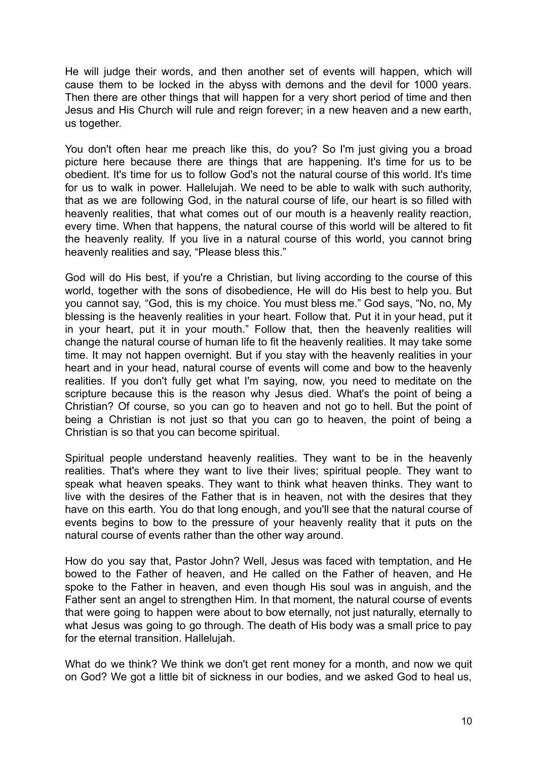He will judge their words, and then another set of events will happen, which will cause them to be locked in the abyss with demons and the devil for 1000 years. Then there are other things that will happen for a very short period of time and then Jesus and His Church will rule and reign forever; in a new heaven and a new earth, us together.

You don't often hear me preach like this, do you? So I'm just giving you a broad picture here because there are things that are happening. It's time for us to be obedient. It's time for us to follow God's not the natural course of this world. It's time for us to walk in power. Hallelujah. We need to be able to walk with such authority, that as we are following God, in the natural course of life, our heart is so filled with heavenly realities, that what comes out of our mouth is a heavenly reality reaction, every time. When that happens, the natural course of this world will be altered to fit the heavenly reality. If you live in a natural course of this world, you cannot bring heavenly realities and say, "Please bless this."

God will do His best, if you're a Christian, but living according to the course of this world, together with the sons of disobedience, He will do His best to help you. But you cannot say, "God, this is my choice. You must bless me." God says, "No, no, My blessing is the heavenly realities in your heart. Follow that. Put it in your head, put it in your heart, put it in your mouth." Follow that, then the heavenly realities will change the natural course of human life to fit the heavenly realities. It may take some time. It may not happen overnight. But if you stay with the heavenly realities in your heart and in your head, natural course of events will come and bow to the heavenly realities. If you don't fully get what I'm saying, now, you need to meditate on the scripture because this is the reason why Jesus died. What's the point of being a Christian? Of course, so you can go to heaven and not go to hell. But the point of being a Christian is not just so that you can go to heaven, the point of being a Christian is so that you can become spiritual.

Spiritual people understand heavenly realities. They want to be in the heavenly realities. That's where they want to live their lives; spiritual people. They want to speak what heaven speaks. They want to think what heaven thinks. They want to live with the desires of the Father that is in heaven, not with the desires that they have on this earth. You do that long enough, and you'll see that the natural course of events begins to bow to the pressure of your heavenly reality that it puts on the natural course of events rather than the other way around.

How do you say that, Pastor John? Well, Jesus was faced with temptation, and He bowed to the Father of heaven, and He called on the Father of heaven, and He spoke to the Father in heaven, and even though His soul was in anguish, and the Father sent an angel to strengthen Him. In that moment, the natural course of events that were going to happen were about to bow eternally, not just naturally, eternally to what Jesus was going to go through. The death of His body was a small price to pay for the eternal transition. Hallelujah.

What do we think? We think we don't get rent money for a month, and now we quit on God? We got a little bit of sickness in our bodies, and we asked God to heal us,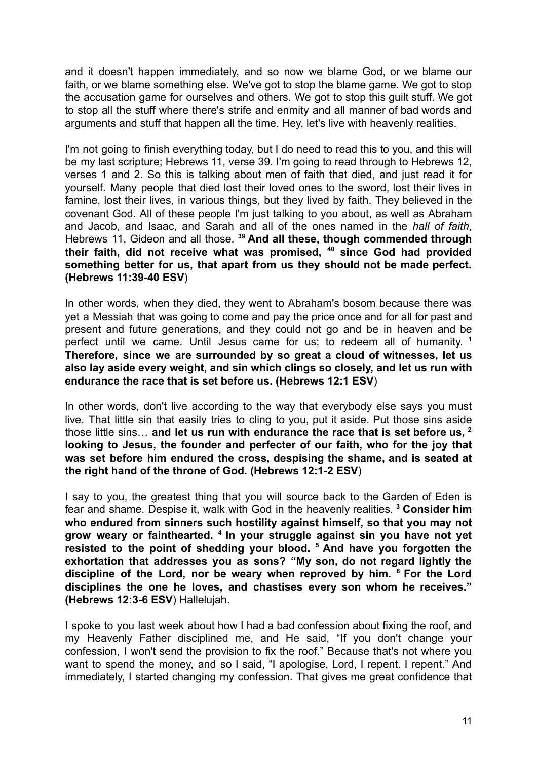and it doesn't happen immediately, and so now we blame God, or we blame our faith, or we blame something else. We've got to stop the blame game. We got to stop the accusation game for ourselves and others. We got to stop this guilt stuff. We got to stop all the stuff where there's strife and enmity and all manner of bad words and arguments and stuff that happen all the time. Hey, let's live with heavenly realities.

I'm not going to finish everything today, but I do need to read this to you, and this will be my last scripture; Hebrews 11, verse 39. I'm going to read through to Hebrews 12, verses 1 and 2. So this is talking about men of faith that died, and just read it for yourself. Many people that died lost their loved ones to the sword, lost their lives in famine, lost their lives, in various things, but they lived by faith. They believed in the covenant God. All of these people I'm just talking to you about, as well as Abraham and Jacob, and Isaac, and Sarah and all of the ones named in the *hall of faith*, Hebrews 11, Gideon and all those. **<sup>39</sup> And all these, though commended through their faith, did not receive what was promised, <sup>40</sup> since God had provided something better for us, that apart from us they should not be made perfect. (Hebrews 11:39-40 ESV**)

In other words, when they died, they went to Abraham's bosom because there was yet a Messiah that was going to come and pay the price once and for all for past and present and future generations, and they could not go and be in heaven and be perfect until we came. Until Jesus came for us; to redeem all of humanity. **1 Therefore, since we are surrounded by so great a cloud of witnesses, let us also lay aside every weight, and sin which clings so closely, and let us run with endurance the race that is set before us. (Hebrews 12:1 ESV**)

In other words, don't live according to the way that everybody else says you must live. That little sin that easily tries to cling to you, put it aside. Put those sins aside those little sins… **and let us run with endurance the race that is set before us, <sup>2</sup> looking to Jesus, the founder and perfecter of our faith, who for the joy that was set before him endured the cross, despising the shame, and is seated at the right hand of the throne of God. (Hebrews 12:1-2 ESV**)

I say to you, the greatest thing that you will source back to the Garden of Eden is fear and shame. Despise it, walk with God in the heavenly realities. **<sup>3</sup> Consider him who endured from sinners such hostility against himself, so that you may not grow weary or fainthearted. <sup>4</sup> In your struggle against sin you have not yet resisted to the point of shedding your blood. <sup>5</sup> And have you forgotten the exhortation that addresses you as sons? "My son, do not regard lightly the discipline of the Lord, nor be weary when reproved by him. <sup>6</sup> For the Lord disciplines the one he loves, and chastises every son whom he receives." (Hebrews 12:3-6 ESV**) Hallelujah.

I spoke to you last week about how I had a bad confession about fixing the roof, and my Heavenly Father disciplined me, and He said, "If you don't change your confession, I won't send the provision to fix the roof." Because that's not where you want to spend the money, and so I said, "I apologise, Lord, I repent. I repent." And immediately, I started changing my confession. That gives me great confidence that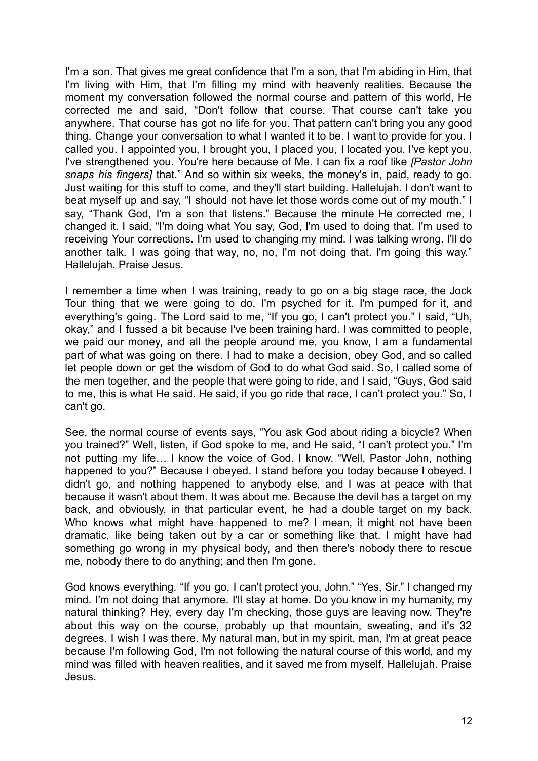I'm a son. That gives me great confidence that I'm a son, that I'm abiding in Him, that I'm living with Him, that I'm filling my mind with heavenly realities. Because the moment my conversation followed the normal course and pattern of this world, He corrected me and said, "Don't follow that course. That course can't take you anywhere. That course has got no life for you. That pattern can't bring you any good thing. Change your conversation to what I wanted it to be. I want to provide for you. I called you. I appointed you, I brought you, I placed you, I located you. I've kept you. I've strengthened you. You're here because of Me. I can fix a roof like *[Pastor John snaps his fingers]* that." And so within six weeks, the money's in, paid, ready to go. Just waiting for this stuff to come, and they'll start building. Hallelujah. I don't want to beat myself up and say, "I should not have let those words come out of my mouth." I say, "Thank God, I'm a son that listens." Because the minute He corrected me, I changed it. I said, "I'm doing what You say, God, I'm used to doing that. I'm used to receiving Your corrections. I'm used to changing my mind. I was talking wrong. I'll do another talk. I was going that way, no, no, I'm not doing that. I'm going this way." Hallelujah. Praise Jesus.

I remember a time when I was training, ready to go on a big stage race, the Jock Tour thing that we were going to do. I'm psyched for it. I'm pumped for it, and everything's going. The Lord said to me, "If you go, I can't protect you." I said, "Uh, okay," and I fussed a bit because I've been training hard. I was committed to people, we paid our money, and all the people around me, you know, I am a fundamental part of what was going on there. I had to make a decision, obey God, and so called let people down or get the wisdom of God to do what God said. So, I called some of the men together, and the people that were going to ride, and I said, "Guys, God said to me, this is what He said. He said, if you go ride that race, I can't protect you." So, I can't go.

See, the normal course of events says, "You ask God about riding a bicycle? When you trained?" Well, listen, if God spoke to me, and He said, "I can't protect you." I'm not putting my life… I know the voice of God. I know. "Well, Pastor John, nothing happened to you?" Because I obeyed. I stand before you today because I obeyed. I didn't go, and nothing happened to anybody else, and I was at peace with that because it wasn't about them. It was about me. Because the devil has a target on my back, and obviously, in that particular event, he had a double target on my back. Who knows what might have happened to me? I mean, it might not have been dramatic, like being taken out by a car or something like that. I might have had something go wrong in my physical body, and then there's nobody there to rescue me, nobody there to do anything; and then I'm gone.

God knows everything. "If you go, I can't protect you, John." "Yes, Sir." I changed my mind. I'm not doing that anymore. I'll stay at home. Do you know in my humanity, my natural thinking? Hey, every day I'm checking, those guys are leaving now. They're about this way on the course, probably up that mountain, sweating, and it's 32 degrees. I wish I was there. My natural man, but in my spirit, man, I'm at great peace because I'm following God, I'm not following the natural course of this world, and my mind was filled with heaven realities, and it saved me from myself. Hallelujah. Praise Jesus.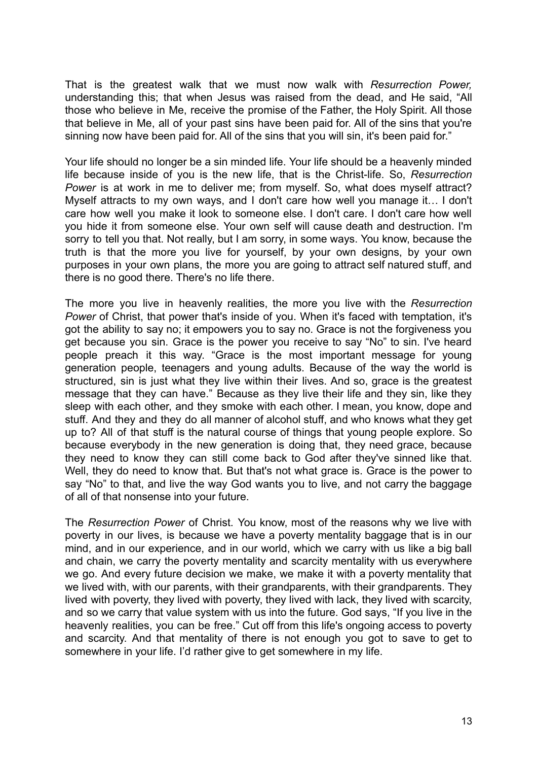That is the greatest walk that we must now walk with *Resurrection Power,* understanding this; that when Jesus was raised from the dead, and He said, "All those who believe in Me, receive the promise of the Father, the Holy Spirit. All those that believe in Me, all of your past sins have been paid for. All of the sins that you're sinning now have been paid for. All of the sins that you will sin, it's been paid for."

Your life should no longer be a sin minded life. Your life should be a heavenly minded life because inside of you is the new life, that is the Christ-life. So, *Resurrection Power* is at work in me to deliver me; from myself. So, what does myself attract? Myself attracts to my own ways, and I don't care how well you manage it… I don't care how well you make it look to someone else. I don't care. I don't care how well you hide it from someone else. Your own self will cause death and destruction. I'm sorry to tell you that. Not really, but I am sorry, in some ways. You know, because the truth is that the more you live for yourself, by your own designs, by your own purposes in your own plans, the more you are going to attract self natured stuff, and there is no good there. There's no life there.

The more you live in heavenly realities, the more you live with the *Resurrection Power* of Christ, that power that's inside of you. When it's faced with temptation, it's got the ability to say no; it empowers you to say no. Grace is not the forgiveness you get because you sin. Grace is the power you receive to say "No" to sin. I've heard people preach it this way. "Grace is the most important message for young generation people, teenagers and young adults. Because of the way the world is structured, sin is just what they live within their lives. And so, grace is the greatest message that they can have." Because as they live their life and they sin, like they sleep with each other, and they smoke with each other. I mean, you know, dope and stuff. And they and they do all manner of alcohol stuff, and who knows what they get up to? All of that stuff is the natural course of things that young people explore. So because everybody in the new generation is doing that, they need grace, because they need to know they can still come back to God after they've sinned like that. Well, they do need to know that. But that's not what grace is. Grace is the power to say "No" to that, and live the way God wants you to live, and not carry the baggage of all of that nonsense into your future.

The *Resurrection Power* of Christ. You know, most of the reasons why we live with poverty in our lives, is because we have a poverty mentality baggage that is in our mind, and in our experience, and in our world, which we carry with us like a big ball and chain, we carry the poverty mentality and scarcity mentality with us everywhere we go. And every future decision we make, we make it with a poverty mentality that we lived with, with our parents, with their grandparents, with their grandparents. They lived with poverty, they lived with poverty, they lived with lack, they lived with scarcity, and so we carry that value system with us into the future. God says, "If you live in the heavenly realities, you can be free." Cut off from this life's ongoing access to poverty and scarcity. And that mentality of there is not enough you got to save to get to somewhere in your life. I'd rather give to get somewhere in my life.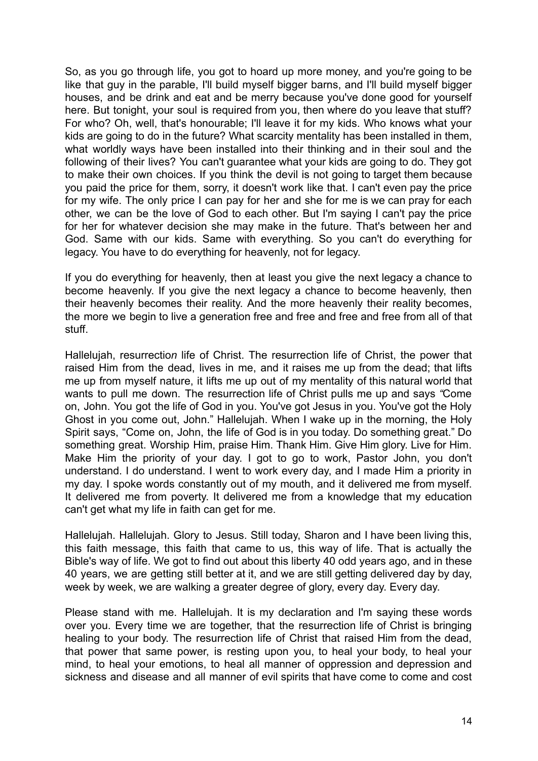So, as you go through life, you got to hoard up more money, and you're going to be like that guy in the parable, I'll build myself bigger barns, and I'll build myself bigger houses, and be drink and eat and be merry because you've done good for yourself here. But tonight, your soul is required from you, then where do you leave that stuff? For who? Oh, well, that's honourable; I'll leave it for my kids. Who knows what your kids are going to do in the future? What scarcity mentality has been installed in them, what worldly ways have been installed into their thinking and in their soul and the following of their lives? You can't guarantee what your kids are going to do. They got to make their own choices. If you think the devil is not going to target them because you paid the price for them, sorry, it doesn't work like that. I can't even pay the price for my wife. The only price I can pay for her and she for me is we can pray for each other, we can be the love of God to each other. But I'm saying I can't pay the price for her for whatever decision she may make in the future. That's between her and God. Same with our kids. Same with everything. So you can't do everything for legacy. You have to do everything for heavenly, not for legacy.

If you do everything for heavenly, then at least you give the next legacy a chance to become heavenly. If you give the next legacy a chance to become heavenly, then their heavenly becomes their reality. And the more heavenly their reality becomes, the more we begin to live a generation free and free and free and free from all of that stuff.

Hallelujah, resurrectio*n* life of Christ. The resurrection life of Christ, the power that raised Him from the dead, lives in me, and it raises me up from the dead; that lifts me up from myself nature, it lifts me up out of my mentality of this natural world that wants to pull me down. The resurrection life of Christ pulls me up and says *"*Come on, John. You got the life of God in you. You've got Jesus in you. You've got the Holy Ghost in you come out, John." Hallelujah. When I wake up in the morning, the Holy Spirit says, "Come on, John, the life of God is in you today. Do something great." Do something great. Worship Him, praise Him. Thank Him. Give Him glory. Live for Him. Make Him the priority of your day. I got to go to work, Pastor John, you don't understand. I do understand. I went to work every day, and I made Him a priority in my day. I spoke words constantly out of my mouth, and it delivered me from myself. It delivered me from poverty. It delivered me from a knowledge that my education can't get what my life in faith can get for me.

Hallelujah. Hallelujah. Glory to Jesus. Still today, Sharon and I have been living this, this faith message, this faith that came to us, this way of life. That is actually the Bible's way of life. We got to find out about this liberty 40 odd years ago, and in these 40 years, we are getting still better at it, and we are still getting delivered day by day, week by week, we are walking a greater degree of glory, every day. Every day.

Please stand with me. Hallelujah. It is my declaration and I'm saying these words over you. Every time we are together, that the resurrection life of Christ is bringing healing to your body. The resurrection life of Christ that raised Him from the dead, that power that same power, is resting upon you, to heal your body, to heal your mind, to heal your emotions, to heal all manner of oppression and depression and sickness and disease and all manner of evil spirits that have come to come and cost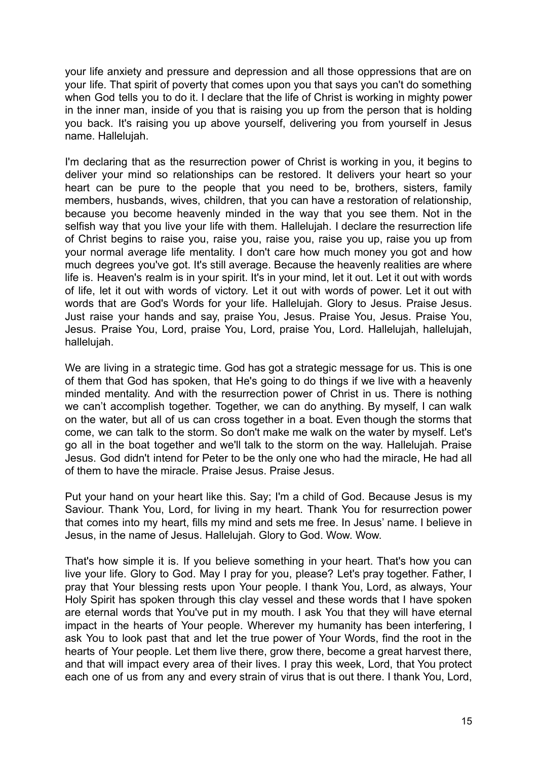your life anxiety and pressure and depression and all those oppressions that are on your life. That spirit of poverty that comes upon you that says you can't do something when God tells you to do it. I declare that the life of Christ is working in mighty power in the inner man, inside of you that is raising you up from the person that is holding you back. It's raising you up above yourself, delivering you from yourself in Jesus name. Hallelujah.

I'm declaring that as the resurrection power of Christ is working in you, it begins to deliver your mind so relationships can be restored. It delivers your heart so your heart can be pure to the people that you need to be, brothers, sisters, family members, husbands, wives, children, that you can have a restoration of relationship, because you become heavenly minded in the way that you see them. Not in the selfish way that you live your life with them. Hallelujah. I declare the resurrection life of Christ begins to raise you, raise you, raise you, raise you up, raise you up from your normal average life mentality. I don't care how much money you got and how much degrees you've got. It's still average. Because the heavenly realities are where life is. Heaven's realm is in your spirit. It's in your mind, let it out. Let it out with words of life, let it out with words of victory. Let it out with words of power. Let it out with words that are God's Words for your life. Hallelujah. Glory to Jesus. Praise Jesus. Just raise your hands and say, praise You, Jesus. Praise You, Jesus. Praise You, Jesus. Praise You, Lord, praise You, Lord, praise You, Lord. Hallelujah, hallelujah, hallelujah.

We are living in a strategic time. God has got a strategic message for us. This is one of them that God has spoken, that He's going to do things if we live with a heavenly minded mentality. And with the resurrection power of Christ in us. There is nothing we can't accomplish together. Together, we can do anything. By myself, I can walk on the water, but all of us can cross together in a boat. Even though the storms that come, we can talk to the storm. So don't make me walk on the water by myself. Let's go all in the boat together and we'll talk to the storm on the way. Hallelujah. Praise Jesus. God didn't intend for Peter to be the only one who had the miracle, He had all of them to have the miracle. Praise Jesus. Praise Jesus.

Put your hand on your heart like this. Say; I'm a child of God. Because Jesus is my Saviour. Thank You, Lord, for living in my heart. Thank You for resurrection power that comes into my heart, fills my mind and sets me free. In Jesus' name. I believe in Jesus, in the name of Jesus. Hallelujah. Glory to God. Wow. Wow.

That's how simple it is. If you believe something in your heart. That's how you can live your life. Glory to God. May I pray for you, please? Let's pray together. Father, I pray that Your blessing rests upon Your people. I thank You, Lord, as always, Your Holy Spirit has spoken through this clay vessel and these words that I have spoken are eternal words that You've put in my mouth. I ask You that they will have eternal impact in the hearts of Your people. Wherever my humanity has been interfering, I ask You to look past that and let the true power of Your Words, find the root in the hearts of Your people. Let them live there, grow there, become a great harvest there, and that will impact every area of their lives. I pray this week, Lord, that You protect each one of us from any and every strain of virus that is out there. I thank You, Lord,